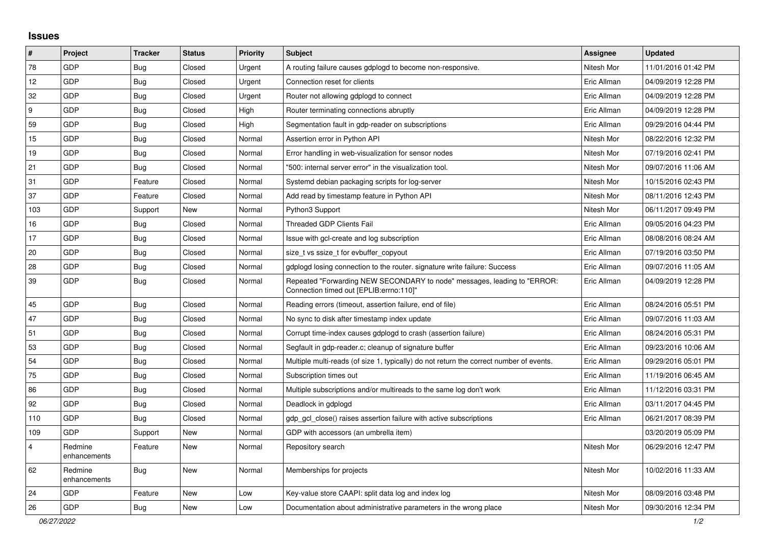## **Issues**

| $\pmb{\sharp}$          | Project                 | <b>Tracker</b> | <b>Status</b> | <b>Priority</b> | <b>Subject</b>                                                                                                      | <b>Assignee</b> | <b>Updated</b>      |
|-------------------------|-------------------------|----------------|---------------|-----------------|---------------------------------------------------------------------------------------------------------------------|-----------------|---------------------|
| 78                      | GDP                     | Bug            | Closed        | Urgent          | A routing failure causes gdplogd to become non-responsive.                                                          | Nitesh Mor      | 11/01/2016 01:42 PM |
| 12                      | GDP                     | Bug            | Closed        | Urgent          | Connection reset for clients                                                                                        | Eric Allman     | 04/09/2019 12:28 PM |
| 32                      | GDP                     | Bug            | Closed        | Urgent          | Router not allowing gdplogd to connect                                                                              | Eric Allman     | 04/09/2019 12:28 PM |
| 9                       | GDP                     | <b>Bug</b>     | Closed        | High            | Router terminating connections abruptly                                                                             | Eric Allman     | 04/09/2019 12:28 PM |
| 59                      | GDP                     | <b>Bug</b>     | Closed        | High            | Segmentation fault in gdp-reader on subscriptions                                                                   | Eric Allman     | 09/29/2016 04:44 PM |
| 15                      | GDP                     | <b>Bug</b>     | Closed        | Normal          | Assertion error in Python API                                                                                       | Nitesh Mor      | 08/22/2016 12:32 PM |
| 19                      | GDP                     | <b>Bug</b>     | Closed        | Normal          | Error handling in web-visualization for sensor nodes                                                                | Nitesh Mor      | 07/19/2016 02:41 PM |
| 21                      | GDP                     | <b>Bug</b>     | Closed        | Normal          | '500: internal server error" in the visualization tool.                                                             | Nitesh Mor      | 09/07/2016 11:06 AM |
| 31                      | GDP                     | Feature        | Closed        | Normal          | Systemd debian packaging scripts for log-server                                                                     | Nitesh Mor      | 10/15/2016 02:43 PM |
| 37                      | GDP                     | Feature        | Closed        | Normal          | Add read by timestamp feature in Python API                                                                         | Nitesh Mor      | 08/11/2016 12:43 PM |
| 103                     | GDP                     | Support        | New           | Normal          | Python3 Support                                                                                                     | Nitesh Mor      | 06/11/2017 09:49 PM |
| 16                      | <b>GDP</b>              | <b>Bug</b>     | Closed        | Normal          | Threaded GDP Clients Fail                                                                                           | Eric Allman     | 09/05/2016 04:23 PM |
| 17                      | <b>GDP</b>              | Bug            | Closed        | Normal          | Issue with gcl-create and log subscription                                                                          | Eric Allman     | 08/08/2016 08:24 AM |
| 20                      | GDP                     | <b>Bug</b>     | Closed        | Normal          | size_t vs ssize_t for evbuffer_copyout                                                                              | Eric Allman     | 07/19/2016 03:50 PM |
| 28                      | <b>GDP</b>              | Bug            | Closed        | Normal          | gdplogd losing connection to the router, signature write failure: Success                                           | Eric Allman     | 09/07/2016 11:05 AM |
| 39                      | GDP                     | Bug            | Closed        | Normal          | Repeated "Forwarding NEW SECONDARY to node" messages, leading to "ERROR:<br>Connection timed out [EPLIB:errno:110]" | Eric Allman     | 04/09/2019 12:28 PM |
| 45                      | GDP                     | <b>Bug</b>     | Closed        | Normal          | Reading errors (timeout, assertion failure, end of file)                                                            | Eric Allman     | 08/24/2016 05:51 PM |
| 47                      | GDP                     | <b>Bug</b>     | Closed        | Normal          | No sync to disk after timestamp index update                                                                        | Eric Allman     | 09/07/2016 11:03 AM |
| 51                      | <b>GDP</b>              | <b>Bug</b>     | Closed        | Normal          | Corrupt time-index causes gdplogd to crash (assertion failure)                                                      | Eric Allman     | 08/24/2016 05:31 PM |
| 53                      | GDP                     | Bug            | Closed        | Normal          | Segfault in gdp-reader.c; cleanup of signature buffer                                                               | Eric Allman     | 09/23/2016 10:06 AM |
| 54                      | GDP                     | <b>Bug</b>     | Closed        | Normal          | Multiple multi-reads (of size 1, typically) do not return the correct number of events.                             | Eric Allman     | 09/29/2016 05:01 PM |
| 75                      | GDP                     | Bug            | Closed        | Normal          | Subscription times out                                                                                              | Eric Allman     | 11/19/2016 06:45 AM |
| 86                      | GDP                     | <b>Bug</b>     | Closed        | Normal          | Multiple subscriptions and/or multireads to the same log don't work                                                 | Eric Allman     | 11/12/2016 03:31 PM |
| 92                      | GDP                     | Bug            | Closed        | Normal          | Deadlock in gdplogd                                                                                                 | Eric Allman     | 03/11/2017 04:45 PM |
| 110                     | <b>GDP</b>              | Bug            | Closed        | Normal          | gdp gcl close() raises assertion failure with active subscriptions                                                  | Eric Allman     | 06/21/2017 08:39 PM |
| 109                     | GDP                     | Support        | New           | Normal          | GDP with accessors (an umbrella item)                                                                               |                 | 03/20/2019 05:09 PM |
| $\overline{\mathbf{4}}$ | Redmine<br>enhancements | Feature        | New           | Normal          | Repository search                                                                                                   | Nitesh Mor      | 06/29/2016 12:47 PM |
| 62                      | Redmine<br>enhancements | Bug            | New           | Normal          | Memberships for projects                                                                                            | Nitesh Mor      | 10/02/2016 11:33 AM |
| 24                      | GDP                     | Feature        | New           | Low             | Key-value store CAAPI: split data log and index log                                                                 | Nitesh Mor      | 08/09/2016 03:48 PM |
| 26                      | GDP                     | Bug            | New           | Low             | Documentation about administrative parameters in the wrong place                                                    | Nitesh Mor      | 09/30/2016 12:34 PM |